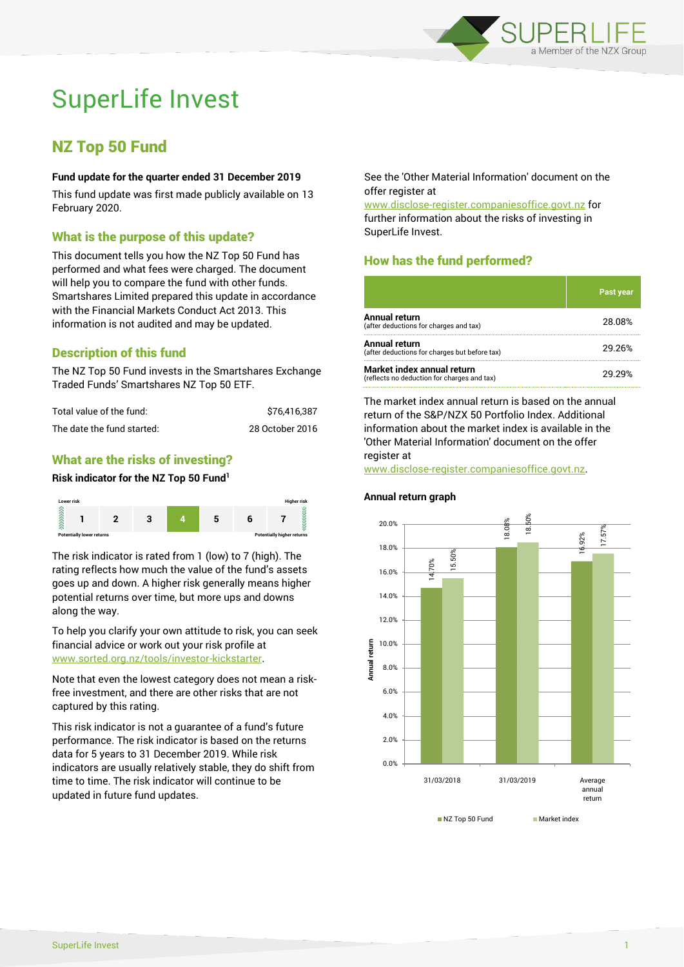

# SuperLife Invest

# NZ Top 50 Fund

#### **Fund update for the quarter ended 31 December 2019**

This fund update was first made publicly available on 13 February 2020.

# What is the purpose of this update?

This document tells you how the NZ Top 50 Fund has performed and what fees were charged. The document will help you to compare the fund with other funds. Smartshares Limited prepared this update in accordance with the Financial Markets Conduct Act 2013. This information is not audited and may be updated.

# Description of this fund

The NZ Top 50 Fund invests in the Smartshares Exchange Traded Funds' Smartshares NZ Top 50 ETF.

| Total value of the fund:   | \$76.416.387    |  |
|----------------------------|-----------------|--|
| The date the fund started: | 28 October 2016 |  |

# What are the risks of investing?

#### **Risk indicator for the NZ Top 50 Fund<sup>1</sup>**



The risk indicator is rated from 1 (low) to 7 (high). The rating reflects how much the value of the fund's assets goes up and down. A higher risk generally means higher potential returns over time, but more ups and downs along the way.

To help you clarify your own attitude to risk, you can seek financial advice or work out your risk profile at [www.sorted.org.nz/tools/investor-kickstarter.](http://www.sorted.org.nz/tools/investor-kickstarter)

Note that even the lowest category does not mean a riskfree investment, and there are other risks that are not captured by this rating.

This risk indicator is not a guarantee of a fund's future performance. The risk indicator is based on the returns data for 5 years to 31 December 2019. While risk indicators are usually relatively stable, they do shift from time to time. The risk indicator will continue to be updated in future fund updates.

See the 'Other Material Information' document on the offer register at

www.disclose-register.companiesoffice.govt.nz for further information about the risks of investing in SuperLife Invest.

# How has the fund performed?

|                                                                           | <b>Past year</b> |
|---------------------------------------------------------------------------|------------------|
| Annual return<br>(after deductions for charges and tax)                   | 28.08%           |
| Annual return<br>(after deductions for charges but before tax)            | 29.26%           |
| Market index annual return<br>(reflects no deduction for charges and tax) | 29 29%           |

The market index annual return is based on the annual return of the S&P/NZX 50 Portfolio Index. Additional information about the market index is available in the 'Other Material Information' document on the offer register at

www.disclose-register.companiesoffice.govt.nz.

# 14.70% 18.08% 16.92% 15.50% 18.50% 17.57% 0.0% 2.0% 4.0% 6.0% 8.0% 10.0% 12.0% 14.0% 16.0% 18.0% 20.0% 31/03/2018 31/03/2019 Average annual return **Annual return** NZ Top 50 Fund Market index

#### **Annual return graph**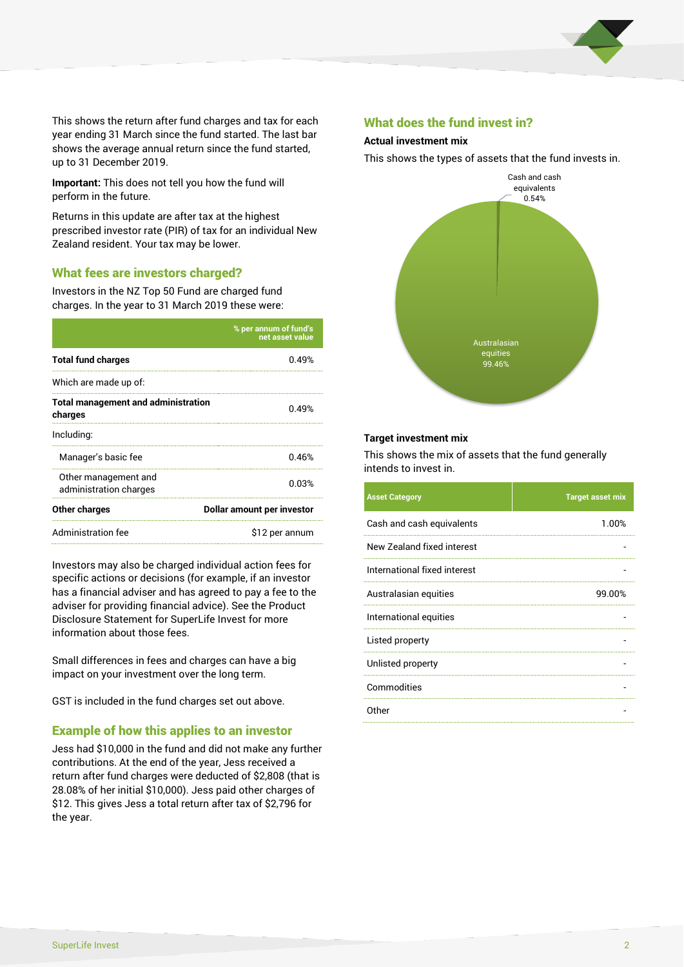

This shows the return after fund charges and tax for each year ending 31 March since the fund started. The last bar shows the average annual return since the fund started, up to 31 December 2019.

**Important:** This does not tell you how the fund will perform in the future.

Returns in this update are after tax at the highest prescribed investor rate (PIR) of tax for an individual New Zealand resident. Your tax may be lower.

# What fees are investors charged?

Investors in the NZ Top 50 Fund are charged fund charges. In the year to 31 March 2019 these were:

|                                                       | % per annum of fund's<br>net asset value |  |
|-------------------------------------------------------|------------------------------------------|--|
| <b>Total fund charges</b>                             | በ 49%                                    |  |
| Which are made up of:                                 |                                          |  |
| <b>Total management and administration</b><br>charges | በ 49%                                    |  |
| Including:                                            |                                          |  |
| Manager's basic fee                                   | 0.46%                                    |  |
| Other management and<br>administration charges        | 0.03%                                    |  |
| Other charges                                         | Dollar amount per investor               |  |
| Administration fee                                    | \$12 per annum                           |  |

Investors may also be charged individual action fees for specific actions or decisions (for example, if an investor has a financial adviser and has agreed to pay a fee to the adviser for providing financial advice). See the Product Disclosure Statement for SuperLife Invest for more information about those fees.

Small differences in fees and charges can have a big impact on your investment over the long term.

GST is included in the fund charges set out above.

#### Example of how this applies to an investor

Jess had \$10,000 in the fund and did not make any further contributions. At the end of the year, Jess received a return after fund charges were deducted of \$2,808 (that is 28.08% of her initial \$10,000). Jess paid other charges of \$12. This gives Jess a total return after tax of \$2,796 for the year.

#### What does the fund invest in?

#### **Actual investment mix**

This shows the types of assets that the fund invests in.



#### **Target investment mix**

This shows the mix of assets that the fund generally intends to invest in.

| <b>Asset Category</b>        | <b>Target asset mix</b> |
|------------------------------|-------------------------|
| Cash and cash equivalents    | 1.00%                   |
| New Zealand fixed interest   |                         |
| International fixed interest |                         |
| Australasian equities        | 99.00%                  |
| International equities       |                         |
| Listed property              |                         |
| Unlisted property            |                         |
| Commodities                  |                         |
| Other                        |                         |